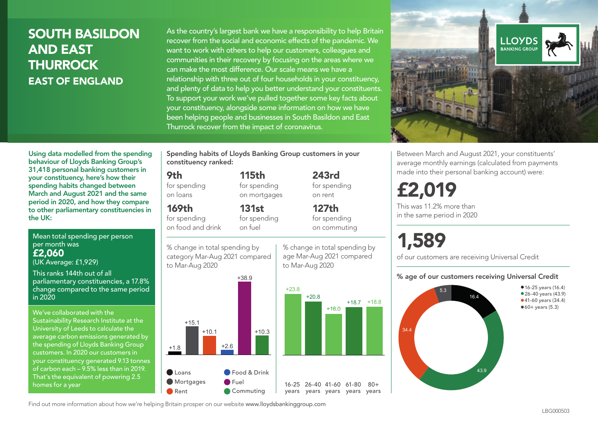## SOUTH BASILDON AND EAST **THURROCK** EAST OF ENGLAND

As the country's largest bank we have a responsibility to help Britain recover from the social and economic effects of the pandemic. We want to work with others to help our customers, colleagues and communities in their recovery by focusing on the areas where we can make the most difference. Our scale means we have a relationship with three out of four households in your constituency, and plenty of data to help you better understand your constituents. To support your work we've pulled together some key facts about your constituency, alongside some information on how we have been helping people and businesses in South Basildon and East Thurrock recover from the impact of coronavirus.



Mean total spending per person per month was £2,060 (UK Average: £1,929)

This ranks 144th out of all parliamentary constituencies, a 17.8% change compared to the same period in 2020

We've collaborated with the Sustainability Research Institute at the University of Leeds to calculate the average carbon emissions generated by the spending of Lloyds Banking Group customers. In 2020 our customers in your constituency generated 9.13 tonnes of carbon each – 9.5% less than in 2019. That's the equivalent of powering 2.5 homes for a year

Spending habits of Lloyds Banking Group customers in your constituency ranked:

> 115th for spending on mortgages

131st

## 9th

for spending on loans

169th for spending

on food and drink for spending on fuel

% change in total spending by category Mar-Aug 2021 compared to Mar-Aug 2020



243rd for spending on rent

127th for spending on commuting

% change in total spending by

+18.7 +18.8

 $80 +$ 

age Mar-Aug 2021 compared to Mar-Aug 2020



Between March and August 2021, your constituents' average monthly earnings (calculated from payments made into their personal banking account) were:

# £2,019

This was 11.2% more than in the same period in 2020

# 1,589

of our customers are receiving Universal Credit

#### % age of our customers receiving Universal Credit



Find out more information about how we're helping Britain prosper on our website www.lloydsbankinggroup.com